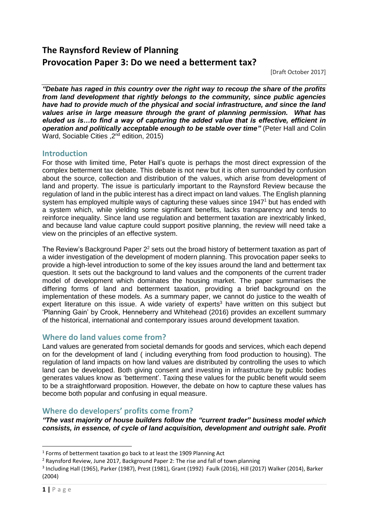# **The Raynsford Review of Planning Provocation Paper 3: Do we need a betterment tax?**

[Draft October 2017]

*"Debate has raged in this country over the right way to recoup the share of the profits from land development that rightly belongs to the community, since public agencies have had to provide much of the physical and social infrastructure, and since the land values arise in large measure through the grant of planning permission. What has eluded us is…to find a way of capturing the added value that is effective, efficient in*  **operation and politically acceptable enough to be stable over time"** (Peter Hall and Colin Ward, Sociable Cities , 2<sup>nd</sup> edition, 2015)

#### **Introduction**

For those with limited time, Peter Hall's quote is perhaps the most direct expression of the complex betterment tax debate. This debate is not new but it is often surrounded by confusion about the source, collection and distribution of the values, which arise from development of land and property. The issue is particularly important to the Raynsford Review because the regulation of land in the public interest has a direct impact on land values. The English planning system has employed multiple ways of capturing these values since 1947<sup>1</sup> but has ended with a system which, while yielding some significant benefits, lacks transparency and tends to reinforce inequality. Since land use regulation and betterment taxation are inextricably linked, and because land value capture could support positive planning, the review will need take a view on the principles of an effective system.

The Review's Background Paper  $2<sup>2</sup>$  sets out the broad history of betterment taxation as part of a wider investigation of the development of modern planning. This provocation paper seeks to provide a high-level introduction to some of the key issues around the land and betterment tax question. It sets out the background to land values and the components of the current trader model of development which dominates the housing market. The paper summarises the differing forms of land and betterment taxation, providing a brief background on the implementation of these models. As a summary paper, we cannot do justice to the wealth of expert literature on this issue. A wide variety of experts<sup>3</sup> have written on this subject but 'Planning Gain' by Crook, Henneberry and Whitehead (2016) provides an excellent summary of the historical, international and contemporary issues around development taxation.

# **Where do land values come from?**

Land values are generated from societal demands for goods and services, which each depend on for the development of land ( including everything from food production to housing). The regulation of land impacts on how land values are distributed by controlling the uses to which land can be developed. Both giving consent and investing in infrastructure by public bodies generates values know as 'betterment'. Taxing these values for the public benefit would seem to be a straightforward proposition. However, the debate on how to capture these values has become both popular and confusing in equal measure.

# **Where do developers' profits come from?**

*"The vast majority of house builders follow the "current trader" business model which consists, in essence, of cycle of land acquisition, development and outright sale. Profit* 

 $\overline{a}$ 

 $<sup>1</sup>$  Forms of betterment taxation go back to at least the 1909 Planning Act</sup>

<sup>&</sup>lt;sup>2</sup> Raynsford Review, June 2017, Background Paper 2: The rise and fall of town planning

<sup>3</sup> Including Hall (1965), Parker (1987), Prest (1981), Grant (1992) Faulk (2016), Hill (2017) Walker (2014), Barker (2004)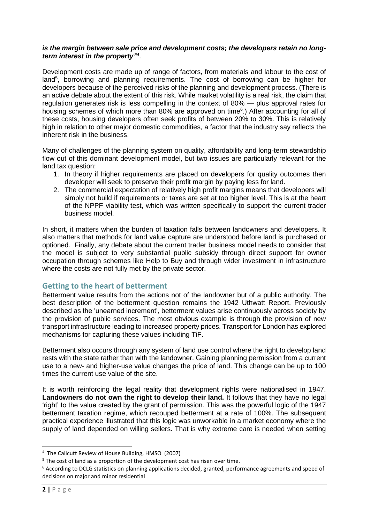#### *is the margin between sale price and development costs; the developers retain no longterm interest in the property" 4* .

Development costs are made up of range of factors, from materials and labour to the cost of land<sup>5</sup>, borrowing and planning requirements. The cost of borrowing can be higher for developers because of the perceived risks of the planning and development process. (There is an active debate about the extent of this risk. While market volatility is a real risk, the claim that regulation generates risk is less compelling in the context of 80% — plus approval rates for housing schemes of which more than 80% are approved on time<sup>6</sup>.) After accounting for all of these costs, housing developers often seek profits of between 20% to 30%. This is relatively high in relation to other major domestic commodities, a factor that the industry say reflects the inherent risk in the business.

Many of challenges of the planning system on quality, affordability and long-term stewardship flow out of this dominant development model, but two issues are particularly relevant for the land tax question:

- 1. In theory if higher requirements are placed on developers for quality outcomes then developer will seek to preserve their profit margin by paying less for land.
- 2. The commercial expectation of relatively high profit margins means that developers will simply not build if requirements or taxes are set at too higher level. This is at the heart of the NPPF viability test, which was written specifically to support the current trader business model.

In short, it matters when the burden of taxation falls between landowners and developers. It also matters that methods for land value capture are understood before land is purchased or optioned. Finally, any debate about the current trader business model needs to consider that the model is subject to very substantial public subsidy through direct support for owner occupation through schemes like Help to Buy and through wider investment in infrastructure where the costs are not fully met by the private sector.

# **Getting to the heart of betterment**

Betterment value results from the actions not of the landowner but of a public authority. The best description of the betterment question remains the 1942 Uthwatt Report. Previously described as the 'unearned increment', betterment values arise continuously across society by the provision of public services. The most obvious example is through the provision of new transport infrastructure leading to increased property prices. Transport for London has explored mechanisms for capturing these values including TiF.

Betterment also occurs through any system of land use control where the right to develop land rests with the state rather than with the landowner. Gaining planning permission from a current use to a new- and higher-use value changes the price of land. This change can be up to 100 times the current use value of the site.

It is worth reinforcing the legal reality that development rights were nationalised in 1947. **Landowners do not own the right to develop their land.** It follows that they have no legal 'right' to the value created by the grant of permission. This was the powerful logic of the 1947 betterment taxation regime, which recouped betterment at a rate of 100%. The subsequent practical experience illustrated that this logic was unworkable in a market economy where the supply of land depended on willing sellers. That is why extreme care is needed when setting

 $\overline{a}$ 

<sup>4</sup> The Callcutt Review of House Building, HMSO (2007)

 $5$  The cost of land as a proportion of the development cost has risen over time.

<sup>6</sup> According to DCLG statistics on planning applications decided, granted, performance agreements and speed of decisions on major and minor residential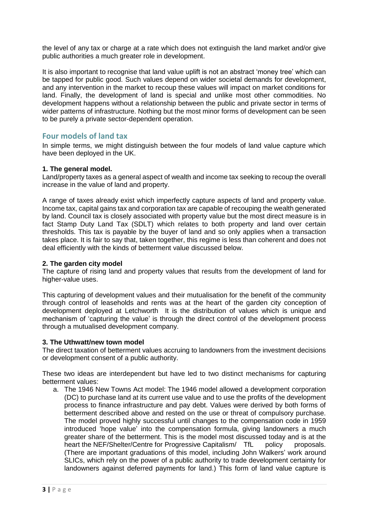the level of any tax or charge at a rate which does not extinguish the land market and/or give public authorities a much greater role in development.

It is also important to recognise that land value uplift is not an abstract 'money tree' which can be tapped for public good. Such values depend on wider societal demands for development, and any intervention in the market to recoup these values will impact on market conditions for land. Finally, the development of land is special and unlike most other commodities. No development happens without a relationship between the public and private sector in terms of wider patterns of infrastructure. Nothing but the most minor forms of development can be seen to be purely a private sector-dependent operation.

# **Four models of land tax**

In simple terms, we might distinguish between the four models of land value capture which have been deployed in the UK.

#### **1. The general model.**

Land/property taxes as a general aspect of wealth and income tax seeking to recoup the overall increase in the value of land and property.

A range of taxes already exist which imperfectly capture aspects of land and property value. Income tax, capital gains tax and corporation tax are capable of recouping the wealth generated by land. Council tax is closely associated with property value but the most direct measure is in fact Stamp Duty Land Tax (SDLT) which relates to both property and land over certain thresholds. This tax is payable by the buyer of land and so only applies when a transaction takes place. It is fair to say that, taken together, this regime is less than coherent and does not deal efficiently with the kinds of betterment value discussed below.

#### **2. The garden city model**

The capture of rising land and property values that results from the development of land for higher-value uses.

This capturing of development values and their mutualisation for the benefit of the community through control of leaseholds and rents was at the heart of the garden city conception of development deployed at Letchworth It is the distribution of values which is unique and mechanism of 'capturing the value' is through the direct control of the development process through a mutualised development company.

#### **3. The Uthwatt/new town model**

The direct taxation of betterment values accruing to landowners from the investment decisions or development consent of a public authority.

These two ideas are interdependent but have led to two distinct mechanisms for capturing betterment values:

a. The 1946 New Towns Act model: The 1946 model allowed a development corporation (DC) to purchase land at its current use value and to use the profits of the development process to finance infrastructure and pay debt. Values were derived by both forms of betterment described above and rested on the use or threat of compulsory purchase. The model proved highly successful until changes to the compensation code in 1959 introduced 'hope value' into the compensation formula, giving landowners a much greater share of the betterment. This is the model most discussed today and is at the heart the NEF/Shelter/Centre for Progressive Capitalism/ TfL policy proposals. (There are important graduations of this model, including John Walkers' work around SLICs, which rely on the power of a public authority to trade development certainty for landowners against deferred payments for land.) This form of land value capture is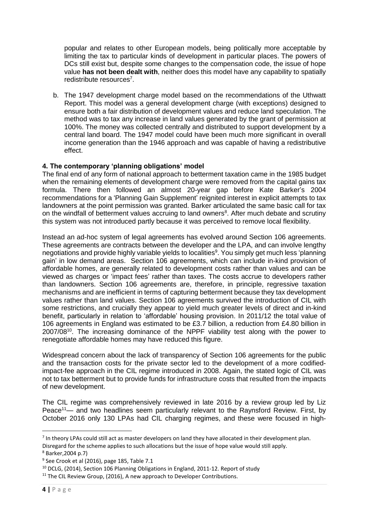popular and relates to other European models, being politically more acceptable by limiting the tax to particular kinds of development in particular places. The powers of DCs still exist but, despite some changes to the compensation code, the issue of hope value **has not been dealt with**, neither does this model have any capability to spatially redistribute resources<sup>7</sup>.

b. The 1947 development charge model based on the recommendations of the Uthwatt Report. This model was a general development charge (with exceptions) designed to ensure both a fair distribution of development values and reduce land speculation. The method was to tax any increase in land values generated by the grant of permission at 100%. The money was collected centrally and distributed to support development by a central land board. The 1947 model could have been much more significant in overall income generation than the 1946 approach and was capable of having a redistributive effect.

# **4. The contemporary 'planning obligations' model**

The final end of any form of national approach to betterment taxation came in the 1985 budget when the remaining elements of development charge were removed from the capital gains tax formula. There then followed an almost 20-year gap before Kate Barker's 2004 recommendations for a 'Planning Gain Supplement' reignited interest in explicit attempts to tax landowners at the point permission was granted. Barker articulated the same basic call for tax on the windfall of betterment values accruing to land owners<sup>8</sup>. After much debate and scrutiny this system was not introduced partly because it was perceived to remove local flexibility.

Instead an ad-hoc system of legal agreements has evolved around Section 106 agreements. These agreements are contracts between the developer and the LPA, and can involve lengthy negotiations and provide highly variable yields to localities<sup>9</sup>. You simply get much less 'planning gain' in low demand areas. Section 106 agreements, which can include in-kind provision of affordable homes, are generally related to development costs rather than values and can be viewed as charges or 'impact fees' rather than taxes. The costs accrue to developers rather than landowners. Section 106 agreements are, therefore, in principle, regressive taxation mechanisms and are inefficient in terms of capturing betterment because they tax development values rather than land values. Section 106 agreements survived the introduction of CIL with some restrictions, and crucially they appear to yield much greater levels of direct and in-kind benefit, particularly in relation to 'affordable' housing provision. In 2011/12 the total value of 106 agreements in England was estimated to be £3.7 billion, a reduction from £4.80 billion in 2007/08<sup>10</sup>. The increasing dominance of the NPPF viability test along with the power to renegotiate affordable homes may have reduced this figure.

Widespread concern about the lack of transparency of Section 106 agreements for the public and the transaction costs for the private sector led to the development of a more codifiedimpact-fee approach in the CIL regime introduced in 2008. Again, the stated logic of CIL was not to tax betterment but to provide funds for infrastructure costs that resulted from the impacts of new development.

The CIL regime was comprehensively reviewed in late 2016 by a review group led by Liz Peace<sup>11</sup>— and two headlines seem particularly relevant to the Raynsford Review. First, by October 2016 only 130 LPAs had CIL charging regimes, and these were focused in high-

 $\overline{a}$ 

<sup>&</sup>lt;sup>7</sup> In theory LPAs could still act as master developers on land they have allocated in their development plan.

Disregard for the scheme applies to such allocations but the issue of hope value would still apply.

<sup>8</sup> Barker,2004 p.7)

<sup>&</sup>lt;sup>9</sup> See Crook et al (2016), page 185, Table 7.1

<sup>10</sup> DCLG, (2014), Section 106 Planning Obligations in England, 2011-12. Report of study

 $11$  The CIL Review Group, (2016), A new approach to Developer Contributions.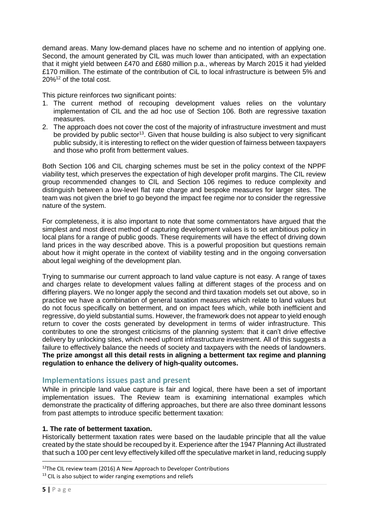demand areas. Many low-demand places have no scheme and no intention of applying one. Second, the amount generated by CIL was much lower than anticipated, with an expectation that it might yield between £470 and £680 million p.a., whereas by March 2015 it had yielded £170 million. The estimate of the contribution of CiL to local infrastructure is between 5% and 20%<sup>12</sup> of the total cost.

This picture reinforces two significant points:

- 1. The current method of recouping development values relies on the voluntary implementation of CIL and the ad hoc use of Section 106. Both are regressive taxation measures.
- 2. The approach does not cover the cost of the majority of infrastructure investment and must be provided by public sector<sup>13</sup>. Given that house building is also subject to very significant public subsidy, it is interesting to reflect on the wider question of fairness between taxpayers and those who profit from betterment values.

Both Section 106 and CIL charging schemes must be set in the policy context of the NPPF viability test, which preserves the expectation of high developer profit margins. The CIL review group recommended changes to CIL and Section 106 regimes to reduce complexity and distinguish between a low-level flat rate charge and bespoke measures for larger sites. The team was not given the brief to go beyond the impact fee regime nor to consider the regressive nature of the system.

For completeness, it is also important to note that some commentators have argued that the simplest and most direct method of capturing development values is to set ambitious policy in local plans for a range of public goods. These requirements will have the effect of driving down land prices in the way described above. This is a powerful proposition but questions remain about how it might operate in the context of viability testing and in the ongoing conversation about legal weighing of the development plan.

Trying to summarise our current approach to land value capture is not easy. A range of taxes and charges relate to development values falling at different stages of the process and on differing players. We no longer apply the second and third taxation models set out above, so in practice we have a combination of general taxation measures which relate to land values but do not focus specifically on betterment, and on impact fees which, while both inefficient and regressive, do yield substantial sums. However, the framework does not appear to yield enough return to cover the costs generated by development in terms of wider infrastructure. This contributes to one the strongest criticisms of the planning system: that it can't drive effective delivery by unlocking sites, which need upfront infrastructure investment. All of this suggests a failure to effectively balance the needs of society and taxpayers with the needs of landowners. **The prize amongst all this detail rests in aligning a betterment tax regime and planning regulation to enhance the delivery of high-quality outcomes.**

# **Implementations issues past and present**

While in principle land value capture is fair and logical, there have been a set of important implementation issues. The Review team is examining international examples which demonstrate the practicality of differing approaches, but there are also three dominant lessons from past attempts to introduce specific betterment taxation:

# **1. The rate of betterment taxation.**

Historically betterment taxation rates were based on the laudable principle that all the value created by the state should be recouped by it. Experience after the 1947 Planning Act illustrated that such a 100 per cent levy effectively killed off the speculative market in land, reducing supply

 $\overline{\phantom{a}}$ 

 $12$ The CIL review team (2016) A New Approach to Developer Contributions

 $13$  CIL is also subject to wider ranging exemptions and reliefs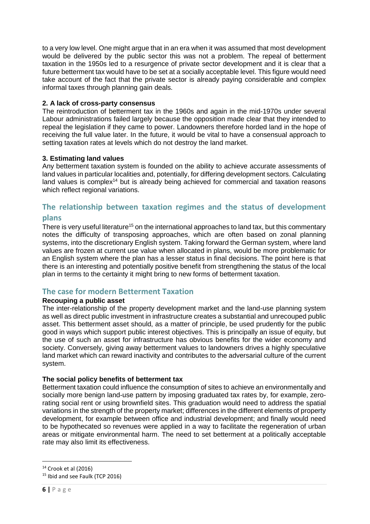to a very low level. One might argue that in an era when it was assumed that most development would be delivered by the public sector this was not a problem. The repeal of betterment taxation in the 1950s led to a resurgence of private sector development and it is clear that a future betterment tax would have to be set at a socially acceptable level. This figure would need take account of the fact that the private sector is already paying considerable and complex informal taxes through planning gain deals.

#### **2. A lack of cross-party consensus**

The reintroduction of betterment tax in the 1960s and again in the mid-1970s under several Labour administrations failed largely because the opposition made clear that they intended to repeal the legislation if they came to power. Landowners therefore horded land in the hope of receiving the full value later. In the future, it would be vital to have a consensual approach to setting taxation rates at levels which do not destroy the land market.

#### **3. Estimating land values**

Any betterment taxation system is founded on the ability to achieve accurate assessments of land values in particular localities and, potentially, for differing development sectors. Calculating land values is complex<sup>14</sup> but is already being achieved for commercial and taxation reasons which reflect regional variations.

# **The relationship between taxation regimes and the status of development plans**

There is very useful literature<sup>15</sup> on the international approaches to land tax, but this commentary notes the difficulty of transposing approaches, which are often based on zonal planning systems, into the discretionary English system. Taking forward the German system, where land values are frozen at current use value when allocated in plans, would be more problematic for an English system where the plan has a lesser status in final decisions. The point here is that there is an interesting and potentially positive benefit from strengthening the status of the local plan in terms to the certainty it might bring to new forms of betterment taxation.

# **The case for modern Betterment Taxation**

#### **Recouping a public asset**

The inter-relationship of the property development market and the land-use planning system as well as direct public investment in infrastructure creates a substantial and unrecouped public asset. This betterment asset should, as a matter of principle, be used prudently for the public good in ways which support public interest objectives. This is principally an issue of equity, but the use of such an asset for infrastructure has obvious benefits for the wider economy and society. Conversely, giving away betterment values to landowners drives a highly speculative land market which can reward inactivity and contributes to the adversarial culture of the current system.

#### **The social policy benefits of betterment tax**

Betterment taxation could influence the consumption of sites to achieve an environmentally and socially more benign land-use pattern by imposing graduated tax rates by, for example, zerorating social rent or using brownfield sites. This graduation would need to address the spatial variations in the strength of the property market; differences in the different elements of property development, for example between office and industrial development; and finally would need to be hypothecated so revenues were applied in a way to facilitate the regeneration of urban areas or mitigate environmental harm. The need to set betterment at a politically acceptable rate may also limit its effectiveness.

 $\overline{\phantom{a}}$ 

 $14$  Crook et al (2016)

<sup>15</sup> Ibid and see Faulk (TCP 2016)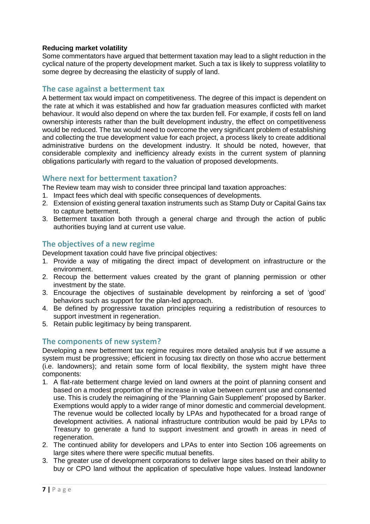#### **Reducing market volatility**

Some commentators have argued that betterment taxation may lead to a slight reduction in the cyclical nature of the property development market. Such a tax is likely to suppress volatility to some degree by decreasing the elasticity of supply of land.

# **The case against a betterment tax**

A betterment tax would impact on competitiveness. The degree of this impact is dependent on the rate at which it was established and how far graduation measures conflicted with market behaviour. It would also depend on where the tax burden fell. For example, if costs fell on land ownership interests rather than the built development industry, the effect on competitiveness would be reduced. The tax would need to overcome the very significant problem of establishing and collecting the true development value for each project, a process likely to create additional administrative burdens on the development industry. It should be noted, however, that considerable complexity and inefficiency already exists in the current system of planning obligations particularly with regard to the valuation of proposed developments.

# **Where next for betterment taxation?**

The Review team may wish to consider three principal land taxation approaches:

- 1. Impact fees which deal with specific consequences of developments.
- 2. Extension of existing general taxation instruments such as Stamp Duty or Capital Gains tax to capture betterment.
- 3. Betterment taxation both through a general charge and through the action of public authorities buying land at current use value.

# **The objectives of a new regime**

Development taxation could have five principal objectives:

- 1. Provide a way of mitigating the direct impact of development on infrastructure or the environment.
- 2. Recoup the betterment values created by the grant of planning permission or other investment by the state.
- 3. Encourage the objectives of sustainable development by reinforcing a set of 'good' behaviors such as support for the plan-led approach.
- 4. Be defined by progressive taxation principles requiring a redistribution of resources to support investment in regeneration.
- 5. Retain public legitimacy by being transparent.

# **The components of new system?**

Developing a new betterment tax regime requires more detailed analysis but if we assume a system must be progressive; efficient in focusing tax directly on those who accrue betterment (i.e. landowners); and retain some form of local flexibility, the system might have three components:

- 1. A flat-rate betterment charge levied on land owners at the point of planning consent and based on a modest proportion of the increase in value between current use and consented use. This is crudely the reimagining of the 'Planning Gain Supplement' proposed by Barker. Exemptions would apply to a wider range of minor domestic and commercial development. The revenue would be collected locally by LPAs and hypothecated for a broad range of development activities. A national infrastructure contribution would be paid by LPAs to Treasury to generate a fund to support investment and growth in areas in need of regeneration.
- 2. The continued ability for developers and LPAs to enter into Section 106 agreements on large sites where there were specific mutual benefits.
- 3. The greater use of development corporations to deliver large sites based on their ability to buy or CPO land without the application of speculative hope values. Instead landowner